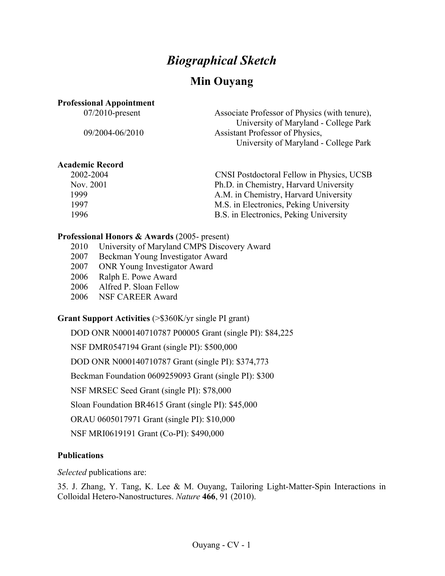# *Biographical Sketch*

# **Min Ouyang**

#### **Professional Appointment**

07/2010-present Associate Professor of Physics (with tenure), University of Maryland - College Park 09/2004-06/2010 Assistant Professor of Physics, University of Maryland - College Park

#### **Academic Record**

| 2002-2004 | <b>CNSI Postdoctoral Fellow in Physics, UCSB</b> |
|-----------|--------------------------------------------------|
| Nov. 2001 | Ph.D. in Chemistry, Harvard University           |
| 1999      | A.M. in Chemistry, Harvard University            |
| 1997      | M.S. in Electronics, Peking University           |
| 1996      | B.S. in Electronics, Peking University           |
|           |                                                  |

#### **Professional Honors & Awards** (2005- present)

- 2010 University of Maryland CMPS Discovery Award
- 2007 Beckman Young Investigator Award
- 2007 ONR Young Investigator Award
- 2006 Ralph E. Powe Award
- 2006 Alfred P. Sloan Fellow
- 2006 NSF CAREER Award

#### **Grant Support Activities** (>\$360K/yr single PI grant)

DOD ONR N000140710787 P00005 Grant (single PI): \$84,225

NSF DMR0547194 Grant (single PI): \$500,000

DOD ONR N000140710787 Grant (single PI): \$374,773

Beckman Foundation 0609259093 Grant (single PI): \$300

NSF MRSEC Seed Grant (single PI): \$78,000

Sloan Foundation BR4615 Grant (single PI): \$45,000

ORAU 0605017971 Grant (single PI): \$10,000

NSF MRI0619191 Grant (Co-PI): \$490,000

#### **Publications**

*Selected* publications are:

35. J. Zhang, Y. Tang, K. Lee & M. Ouyang, Tailoring Light-Matter-Spin Interactions in Colloidal Hetero-Nanostructures. *Nature* **466**, 91 (2010).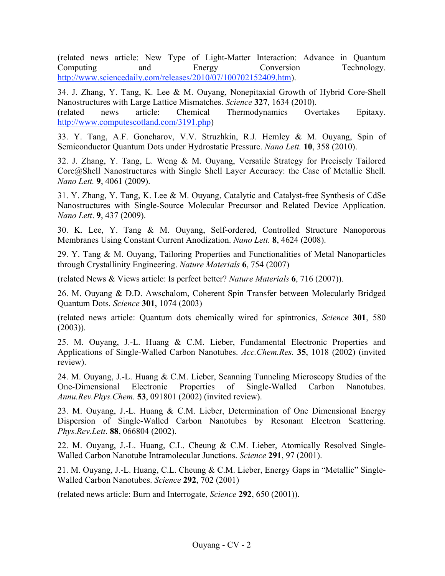(related news article: New Type of Light-Matter Interaction: Advance in Quantum Computing and Energy Conversion Technology. http://www.sciencedaily.com/releases/2010/07/100702152409.htm).

34. J. Zhang, Y. Tang, K. Lee & M. Ouyang, Nonepitaxial Growth of Hybrid Core-Shell Nanostructures with Large Lattice Mismatches. *Science* **327**, 1634 (2010).

(related news article: Chemical Thermodynamics Overtakes Epitaxy. http://www.computescotland.com/3191.php)

33. Y. Tang, A.F. Goncharov, V.V. Struzhkin, R.J. Hemley & M. Ouyang, Spin of Semiconductor Quantum Dots under Hydrostatic Pressure. *Nano Lett.* **10**, 358 (2010).

32. J. Zhang, Y. Tang, L. Weng & M. Ouyang, Versatile Strategy for Precisely Tailored Core@Shell Nanostructures with Single Shell Layer Accuracy: the Case of Metallic Shell. *Nano Lett.* **9**, 4061 (2009).

31. Y. Zhang, Y. Tang, K. Lee & M. Ouyang, Catalytic and Catalyst-free Synthesis of CdSe Nanostructures with Single-Source Molecular Precursor and Related Device Application. *Nano Lett*. **9**, 437 (2009).

30. K. Lee, Y. Tang & M. Ouyang, Self-ordered, Controlled Structure Nanoporous Membranes Using Constant Current Anodization. *Nano Lett.* **8**, 4624 (2008).

29. Y. Tang & M. Ouyang, Tailoring Properties and Functionalities of Metal Nanoparticles through Crystallinity Engineering. *Nature Materials* **6**, 754 (2007)

(related News & Views article: Is perfect better? *Nature Materials* **6**, 716 (2007)).

26. M. Ouyang & D.D. Awschalom, Coherent Spin Transfer between Molecularly Bridged Quantum Dots. *Science* **301**, 1074 (2003)

(related news article: Quantum dots chemically wired for spintronics, *Science* **301**, 580  $(2003)$ ).

25. M. Ouyang, J.-L. Huang & C.M. Lieber, Fundamental Electronic Properties and Applications of Single-Walled Carbon Nanotubes. *Acc.Chem.Res.* **35**, 1018 (2002) (invited review).

24. M. Ouyang, J.-L. Huang & C.M. Lieber, Scanning Tunneling Microscopy Studies of the One-Dimensional Electronic Properties of Single-Walled Carbon Nanotubes. *Annu.Rev.Phys.Chem.* **53**, 091801 (2002) (invited review).

23. M. Ouyang, J.-L. Huang & C.M. Lieber, Determination of One Dimensional Energy Dispersion of Single-Walled Carbon Nanotubes by Resonant Electron Scattering. *Phys.Rev.Lett*. **88**, 066804 (2002).

22. M. Ouyang, J.-L. Huang, C.L. Cheung & C.M. Lieber, Atomically Resolved Single-Walled Carbon Nanotube Intramolecular Junctions. *Science* **291**, 97 (2001).

21. M. Ouyang, J.-L. Huang, C.L. Cheung & C.M. Lieber, Energy Gaps in "Metallic" Single-Walled Carbon Nanotubes. *Science* **292**, 702 (2001)

(related news article: Burn and Interrogate, *Science* **292**, 650 (2001)).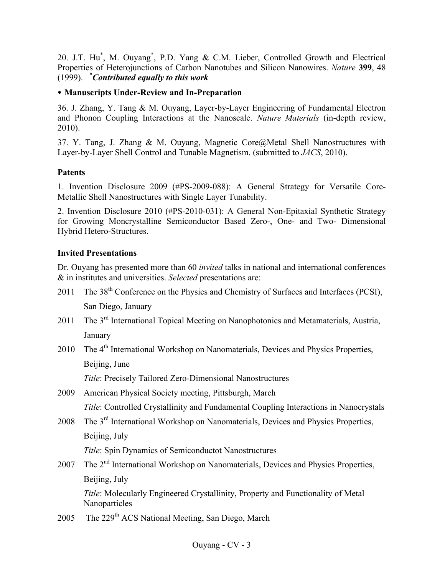20. J.T. Hu<sup>\*</sup>, M. Ouyang<sup>\*</sup>, P.D. Yang & C.M. Lieber, Controlled Growth and Electrical Properties of Heterojunctions of Carbon Nanotubes and Silicon Nanowires. *Nature* **399**, 48 (1999). **\*** *Contributed equally to this work*

#### • **Manuscripts Under-Review and In-Preparation**

36. J. Zhang, Y. Tang & M. Ouyang, Layer-by-Layer Engineering of Fundamental Electron and Phonon Coupling Interactions at the Nanoscale. *Nature Materials* (in-depth review, 2010).

37. Y. Tang, J. Zhang & M. Ouyang, Magnetic Core@Metal Shell Nanostructures with Layer-by-Layer Shell Control and Tunable Magnetism. (submitted to *JACS*, 2010).

### **Patents**

1. Invention Disclosure 2009 (#PS-2009-088): A General Strategy for Versatile Core-Metallic Shell Nanostructures with Single Layer Tunability.

2. Invention Disclosure 2010 (#PS-2010-031): A General Non-Epitaxial Synthetic Strategy for Growing Moncrystalline Semiconductor Based Zero-, One- and Two- Dimensional Hybrid Hetero-Structures.

### **Invited Presentations**

Dr. Ouyang has presented more than 60 *invited* talks in national and international conferences & in institutes and universities. *Selected* presentations are:

- 2011 The 38<sup>th</sup> Conference on the Physics and Chemistry of Surfaces and Interfaces (PCSI), San Diego, January
- 2011 The 3<sup>rd</sup> International Topical Meeting on Nanophotonics and Metamaterials, Austria, January
- 2010 The 4<sup>th</sup> International Workshop on Nanomaterials, Devices and Physics Properties, Beijing, June

*Title*: Precisely Tailored Zero-Dimensional Nanostructures

- 2009 American Physical Society meeting, Pittsburgh, March *Title*: Controlled Crystallinity and Fundamental Coupling Interactions in Nanocrystals
- 2008 The 3<sup>rd</sup> International Workshop on Nanomaterials, Devices and Physics Properties, Beijing, July

*Title*: Spin Dynamics of Semiconductot Nanostructures

2007 The 2<sup>nd</sup> International Workshop on Nanomaterials, Devices and Physics Properties, Beijing, July

*Title*: Molecularly Engineered Crystallinity, Property and Functionality of Metal Nanoparticles

2005 The 229<sup>th</sup> ACS National Meeting, San Diego, March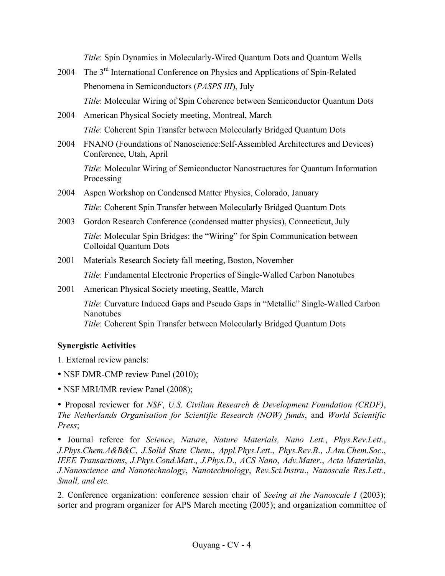*Title*: Spin Dynamics in Molecularly-Wired Quantum Dots and Quantum Wells

- 2004 The 3rd International Conference on Physics and Applications of Spin-Related Phenomena in Semiconductors (*PASPS III*), July *Title*: Molecular Wiring of Spin Coherence between Semiconductor Quantum Dots
- 2004 American Physical Society meeting, Montreal, March *Title*: Coherent Spin Transfer between Molecularly Bridged Quantum Dots
- 2004 FNANO (Foundations of Nanoscience:Self-Assembled Architectures and Devices) Conference, Utah, April

*Title*: Molecular Wiring of Semiconductor Nanostructures for Quantum Information Processing

- 2004 Aspen Workshop on Condensed Matter Physics, Colorado, January *Title*: Coherent Spin Transfer between Molecularly Bridged Quantum Dots
- 2003 Gordon Research Conference (condensed matter physics), Connecticut, July *Title*: Molecular Spin Bridges: the "Wiring" for Spin Communication between Colloidal Quantum Dots
- 2001 Materials Research Society fall meeting, Boston, November *Title*: Fundamental Electronic Properties of Single-Walled Carbon Nanotubes
- 2001 American Physical Society meeting, Seattle, March

*Title*: Curvature Induced Gaps and Pseudo Gaps in "Metallic" Single-Walled Carbon Nanotubes *Title*: Coherent Spin Transfer between Molecularly Bridged Quantum Dots

#### **Synergistic Activities**

- 1. External review panels:
- NSF DMR-CMP review Panel (2010);
- NSF MRI/IMR review Panel (2008);

• Proposal reviewer for *NSF*, *U.S. Civilian Research & Development Foundation (CRDF)*, *The Netherlands Organisation for Scientific Research (NOW) funds*, and *World Scientific Press*;

• Journal referee for *Science*, *Nature*, *Nature Materials, Nano Lett.*, *Phys.Rev.Lett*., *J.Phys.Chem.A&B&C*, *J.Solid State Chem*., *Appl.Phys.Lett*., *Phys.Rev.B*., *J.Am.Chem.Soc*., *IEEE Transactions*, *J.Phys.Cond.Matt*., *J.Phys.D*., *ACS Nano*, *Adv.Mater*., *Acta Materialia*, *J.Nanoscience and Nanotechnology*, *Nanotechnology*, *Rev.Sci.Instru*., *Nanoscale Res.Lett., Small, and etc.*

2. Conference organization: conference session chair of *Seeing at the Nanoscale I* (2003); sorter and program organizer for APS March meeting (2005); and organization committee of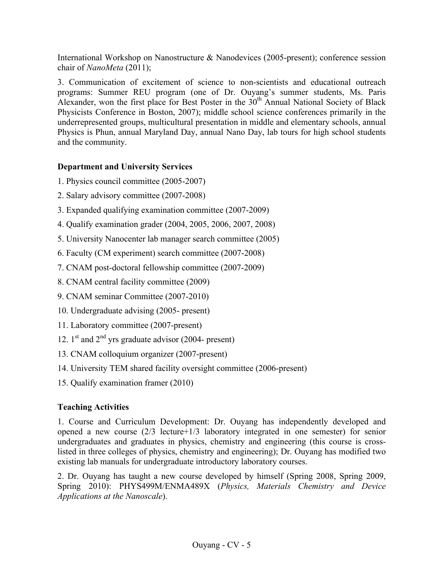International Workshop on Nanostructure & Nanodevices (2005-present); conference session chair of *NanoMeta* (2011);

3. Communication of excitement of science to non-scientists and educational outreach programs: Summer REU program (one of Dr. Ouyang's summer students, Ms. Paris Alexander, won the first place for Best Poster in the  $30<sup>th</sup>$  Annual National Society of Black Physicists Conference in Boston, 2007); middle school science conferences primarily in the underrepresented groups, multicultural presentation in middle and elementary schools, annual Physics is Phun, annual Maryland Day, annual Nano Day, lab tours for high school students and the community.

## **Department and University Services**

- 1. Physics council committee (2005-2007)
- 2. Salary advisory committee (2007-2008)
- 3. Expanded qualifying examination committee (2007-2009)
- 4. Qualify examination grader (2004, 2005, 2006, 2007, 2008)
- 5. University Nanocenter lab manager search committee (2005)
- 6. Faculty (CM experiment) search committee (2007-2008)
- 7. CNAM post-doctoral fellowship committee (2007-2009)
- 8. CNAM central facility committee (2009)
- 9. CNAM seminar Committee (2007-2010)
- 10. Undergraduate advising (2005- present)
- 11. Laboratory committee (2007-present)
- 12.  $1<sup>st</sup>$  and  $2<sup>nd</sup>$  yrs graduate advisor (2004- present)
- 13. CNAM colloquium organizer (2007-present)
- 14. University TEM shared facility oversight committee (2006-present)
- 15. Qualify examination framer (2010)

# **Teaching Activities**

1. Course and Curriculum Development: Dr. Ouyang has independently developed and opened a new course (2/3 lecture+1/3 laboratory integrated in one semester) for senior undergraduates and graduates in physics, chemistry and engineering (this course is crosslisted in three colleges of physics, chemistry and engineering); Dr. Ouyang has modified two existing lab manuals for undergraduate introductory laboratory courses.

2. Dr. Ouyang has taught a new course developed by himself (Spring 2008, Spring 2009, Spring 2010): PHYS499M/ENMA489X (*Physics, Materials Chemistry and Device Applications at the Nanoscale*).